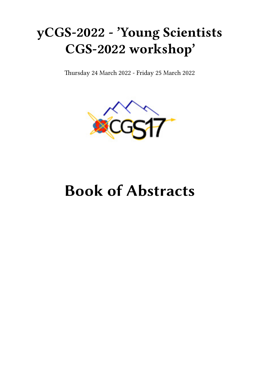## **yCGS-2022 - 'Young Scientists CGS-2022 workshop'**

Thursday 24 March 2022 - Friday 25 March 2022



# **Book of Abstracts**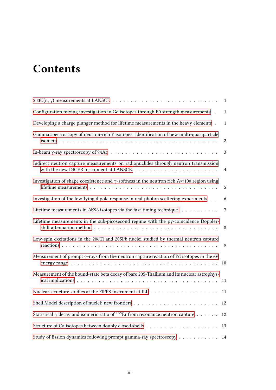## **Contents**

|                                                                                                                                                                                               | $\mathbf{1}$              |
|-----------------------------------------------------------------------------------------------------------------------------------------------------------------------------------------------|---------------------------|
| Configuration mixing investigation in Ge isotopes through E0 strength measurements .                                                                                                          | $\mathbf{1}$              |
| Developing a charge plunger method for lifetime measurements in the heavy elements.                                                                                                           | $\mathbf{1}$              |
| Gamma spectroscopy of neutron-rich Y isotopes: Identification of new multi-quasiparticle                                                                                                      | $\sqrt{2}$                |
|                                                                                                                                                                                               | $\boldsymbol{\mathsf{3}}$ |
| Indirect neutron capture measurements on radionuclides through neutron transmission<br>with the new DICER instrument at LANSCE. $\dots \dots \dots \dots \dots \dots \dots \dots \dots \dots$ | $\overline{4}$            |
| Investigation of shape coexistence and $\gamma$ -softness in the neutron rich A $\approx$ 100 region using                                                                                    | $\mathbf 5$               |
| Investigation of the low-lying dipole response in real-photon scattering experiments                                                                                                          | 6                         |
| Lifetime measurements in AZ96 isotopes via the fast-timing technique.                                                                                                                         | 7                         |
| Lifetime measurements in the sub-picosecond regime with the py-coincidence Doppler-                                                                                                           | 8                         |
| Low-spin excitations in the 206Tl and 205Pb nuclei studied by thermal neutron capture                                                                                                         | 9                         |
| Measurement of prompt $\gamma$ -rays from the neutron capture reaction of Pd isotopes in the eV                                                                                               | 10                        |
| Measurement of the bound-state beta decay of bare 205-Thallium and its nuclear astrophys-                                                                                                     | 11                        |
|                                                                                                                                                                                               | 11                        |
|                                                                                                                                                                                               | 12                        |
| Statistical $\gamma$ decay and isomeric ratio of <sup>168</sup> Er from resonance neutron capture                                                                                             | 12                        |
|                                                                                                                                                                                               | 13                        |
| Study of fission dynamics following prompt gamma-ray spectroscopy                                                                                                                             | 14                        |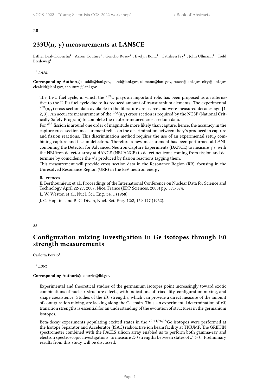#### <span id="page-4-0"></span>**20**

## **233U(n, γ) measurements at LANSCE**

Esther Leal-Cidoncha<sup>1</sup> ; Aaron Couture<sup>1</sup> ; Gencho Rusev<sup>1</sup> ; Evelyn Bond<sup>1</sup> ; Cathleen Fry<sup>1</sup> ; John Ullmann<sup>1</sup> ; Todd Bredeweg<sup>1</sup>

1 *LANL*

**Corresponding Author(s):** toddb@lanl.gov, bond@lanl.gov, ullmann@lanl.gov, rusev@lanl.gov, cfry@lanl.gov, elealcid@lanl.gov, acouture@lanl.gov

The Th-U fuel cycle, in which the <sup>233</sup>U plays an important role, has been proposed as an alternative to the U-Pu fuel cycle due to its reduced amount of transuranium elements. The experimental  $233(n,y)$  cross section data available in the literature are scarce and were measured decades ago [1, 2, 3]. An accurate measurement of the  $^{233}(n,y)$  cross section is required by the NCSP (National Critically Safety Program) to complete the neutron-induced cross section data.

For <sup>233</sup> fission is around one order of magnitude more likely than capture, hence, the accuracy in the capture cross section measurement relies on the discrimination between the  $\gamma$ 's produced in capture and fission reactions. This discrimination method requires the use of an experimental setup combining capture and fission detectors. Therefore a new measurement has been performed at LANL combining the Detector for Advanced Neutron Capture Experiments (DANCE) to measure γ's, with the NEUtron detector array at dANCE (NEUANCE) to detect neutrons coming from fission and determine by coincidence the γ's produced by fission reactions tagging them.

This measurement will provide cross section data in the Resonance Region (RR), focusing in the Unresolved Resonance Region (URR) in the keV neutron energy.

## References

E. Berthoumieux et al., Proceedings of the International Conference on Nuclear Data for Science and Technology April 22-27, 2007, Nice, France (EDP Sciences, 2008) pp. 571-574.

L. W. Weston et al., Nucl. Sci. Eng. 34, 1 (1968).

J. C. Hopkins and B. C. Diven, Nucl. Sci. Eng. 12:2, 169-177 (1962).

#### <span id="page-4-1"></span>**22**

## **Configuration mixing investigation in Ge isotopes through E0 strength measurements**

Carlotta Porzio<sup>1</sup>

1 *LBNL*

## **Corresponding Author(s):** cporzio@lbl.gov

Experimental and theoretical studies of the germanium isotopes point increasingly toward exotic combinations of nuclear-structure effects, with indications of triaxiality, configuration mixing, and shape coexistence. Studies of the *E*0 strengths, which can provide a direct measure of the amount of configuration mixing, are lacking along the Ge chain. Thus, an experimental determination of *E*0 transition strengths is essential for an understanding of the evolution of structures in the germanium isotopes.

Beta-decay experiments populating excited states in the <sup>72</sup>*,*74*,*76*,*<sup>78</sup>Ge isotopes were performed at the Isotope Separator and Accelerator (ISAC) radioactive ion beam facility at TRIUMF. The GRIFFIN spectrometer combined with the PACES silicon array enabled us to perform both gamma-ray and electron spectroscopic investigations, to measure *E*0 strengths between states of *J >* 0. Preliminary results from this study will be discussed.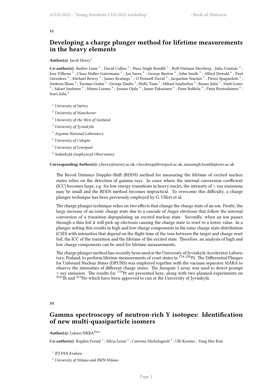#### **11**

## **Developing a charge plunger method for lifetime measurements in the heavy elements**

#### Author(s): Jacob Heery<sup>1</sup>

Co-author(s): Barber Liam<sup>2</sup>; David Cullen<sup>2</sup>; Nara Singh Bondili<sup>3</sup>; Rolf-Dietmar Herzberg; Juha Uusitalo<sup>4</sup>; Jose Vilhena  $^3$  ; Claus Muller-Gatermann  $^5$  ; Jan Saren  $^4$  ; George Beeton  $^3$  ; John Smith  $^3$  ; Alfred Dewald  $^6$  ; Paul Greenlees<sup>4</sup>; Michael Bowry<sup>3</sup>; James Keatings<sup>3</sup>; O'Donnell David<sup>3</sup>; Jacqueline Sinclair<sup>3</sup>; Pietro Spagnoletti<sup>3</sup>; Andreas Illana  $^4$  ; Tuomas Grahn  $^4$  ; George Zimba  $^4$  ; Holly Tann  $^7$  ; Mikael Sandzelius  $^4$  ; Rauno Julin  $^4$  ; Matti Leino 4 ; Sakari Juutinen  $^4$  ; Minna Luoma  $^4$  ; Joonas Ojala  $^4$  ; Janne Pakarinen  $^4$  ; Panu Rahkila  $^4$  ; Panu Ruotsalainen  $^4$  ; Sorri Juha

- <sup>1</sup> *University of Surrey*
- <sup>2</sup> *University of Manchester*
- <sup>3</sup> *University of the West of Scotland*
- <sup>4</sup> *University of Jyväskylä*
- <sup>5</sup> *Argonne National Laboratory*
- <sup>6</sup> *University of Cologne*
- <sup>7</sup> *University of Liverpool*
- 8 *Sodankylä Geophysical Observatory*

**Corresponding Author(s):** j.heery@surrey.ac.uk, r.herzberg@liverpool.ac.uk, narasingh.bondili@uws.ac.uk

The Recoil Distance Doppler-Shift (RDDS) method for measuring the lifetime of excited nuclear states relies on the detection of gamma rays. In cases where the internal conversion coefficient (ICC) becomes large, e.g. for low energy transitions in heavy nuclei, the intensity of *γ*-ray emissions may be small and the RDDS method becomes impractical. To overcome this difficulty, a charge plunger technique has been previously employed by G. Ulfert et al.

The charge plunger technique relies on two effects that change the charge state of an ion. Firstly, the large increase of an ionic charge state due to a cascade of Auger electrons that follow the internal conversion of a transition depopulating an excited nuclear state. Secondly, when an ion passes through a thin foil it will pick up electrons causing the charge state to reset to a lower value. In a plunger setting this results in high and low charge components in the ionic charge state distribution (CSD) with intensities that depend on the flight time of the ions between the target and charge reset foil, the ICC of the transition and the lifetime of the excited state. Therefore, an analysis of high and low charge components can be used for lifetime measurements.

The charge plunger method has recently been used at the University of Jyväskylä Accelerator Laboratory, Finland, to perform lifetime measurements of yrast states in <sup>178,180</sup>Pt. The Differential Plunger for Unbound Nuclear States (DPUNS) was employed together with the vacuum separator MARA to observe the intensities of different charge states. The Jurogam 3 array was used to detect prompt *γ*-ray emission. The results for <sup>178</sup>Pt are presented here, along with two planned experiments on  $^{222}$ Th and  $^{254}$ No which have been approved to run at the University of Jyväskylä.

<span id="page-5-0"></span>**24**

## **Gamma spectroscopy of neutron-rich Y isotopes: Identification of new multi-quasiparticle isomers**

Author(s): Lukasz ISKRA<sup>None</sup>

Co-author(s): Bogdan Fornal <sup>1</sup> ; Silvia Leoni <sup>2</sup> ; Caterina Michelagnoli <sup>3</sup> ; Ulli Koester ; Yung Hee Kim

<sup>1</sup> *IFJ PAN Krakow*

<sup>2</sup> *University of Milano and INFN Milano*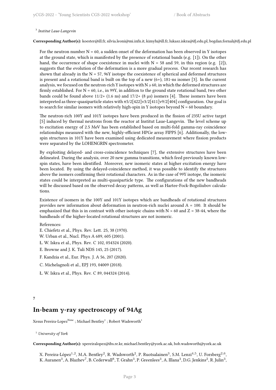#### 3 *Institut Laue-Langevin*

**Corresponding Author(s):** koester@ill.fr, silvia.leoni@mi.infn.it, kimyh@ill.fr, lukasz.iskra@ifj.edu.pl, bogdan.fornal@ifj.edu.pl

For the neutron number  $N = 60$ , a sudden onset of the deformation has been observed in Y isotopes at the ground state, which is manifested by the presence of rotational bands (e.g. [1]). On the other hand, the occurrence of shape coexistence in nuclei with  $N = 58$  and 59, in this region (e.g. [2]), suggests that the evolution of the deformation is a more gradual process. Our recent research has shown that already in the  $N = 57$ , 96Y isotope the coexistence of spherical and deformed structures is present and a rotational band is built on the top of a new  $(6+)$ , 181-ns isomer [3]. In the current analysis, we focused on the neutron-rich Y isotopes with  $N \ge 60$ , in which the deformed structures are firmly established. For  $N = 60$ , i.e., in 99Y, in addition to the ground state rotational band, two other bands could be found above  $11/2+ (1.6 \text{ ns})$  and  $17/2+ (8 \text{ µs})$  isomers [4]. These isomers have been interpreted as three-quasiparticle states with π5/2[422]ν3/2[411]ν9/2[404] configuration. Our goal is to search for similar isomers with relatively high-spin in Y isotopes beyond  $N = 60$  boundary.

The neutron-rich 100Y and 101Y isotopes have been produced in the fission of 235U active target [5] induced by thermal neutrons from the reactor at Institut Laue-Langevin. The level scheme up to excitation energy of 2.5 MeV has been established based on multi-fold gamma-ray coincidence relationships measured with the new, highly-efficient HPGe array FIPPS [6]. Additionally, the lowspin structures in 101Y have been examined using dedicated measurement where fission products were separated by the LOHENGRIN spectrometer.

By exploiting delayed- and cross-coincidence techniques [7], the extensive structures have been delineated. During the analysis, over 20 new gamma transitions, which feed previously known lowspin states, have been identified. Moreover, new isomeric states at higher excitation energy have been located. By using the delayed-coincidence method, it was possible to identify the structures above the isomers confirming their rotational characters. As in the case of 99Y isotope, the isomeric states could be interpreted as multi-quasiparticle type. The configurations of the new bandheads will be discussed based on the observed decay patterns, as well as Hartee-Fock-Bogoliubov calculations.

Existence of isomers in the 100Y and 101Y isotopes which are bandheads of rotational structures provides new information about deformation in neutron-rich nuclei around A = 100. It should be emphasized that this is in contrast with other isotopic chains with  $N > 60$  and  $Z = 38-44$ , where the bandheads of the higher-located rotational structures are not isomeric.

#### References:

- E. Chiefetz et al., Phys. Rev. Lett. 25, 38 (1970).
- W. Urban et al., Nucl. Phys A 689, 605 (2001).
- Ł. W. Iskra et al., Phys. Rev. C 102, 054324 (2020).
- E. Browne and J. K. Tuli NDS 145, 25 (2017).
- F. Kandzia et al., Eur. Phys. J. A 56, 207 (2020).
- C. Michelagnoli et al., EPJ 193, 04009 (2018).
- Ł. W. Iskra et al., Phys. Rev. C 89, 044324 (2014).

#### <span id="page-6-0"></span>**7**

## **In-beam γ-ray spectroscopy of 94Ag**

Xesus Pereira-Lopez $^{\rm None}$  ; Michael Bentley $^1$  ; Robert Wadsworth $^1$ 

<sup>1</sup> *University of York*

**Corresponding Author(s):** xpereiralopez@ibs.re.kr, michael.bentley@york.ac.uk, bob.wadsworth@york.ac.uk

X. Pereira-López<sup>1,2</sup>, M.A. Bentley<sup>2</sup>, R. Wadsworth<sup>2</sup>, P. Ruotsalainen $^3$ , S.M. Lenzi<sup>4,5</sup>, U. Forsberg<sup>2,6</sup>, K. Auranen $^3$ , A. Blazhev $^7$ , B. Cederwall $^8$ , T. Grahn $^3$ , P. Greenlees $^3$ , A. Illana $^3$ , D.G. Jenkins $^2$ , R. Julin $^3$ ,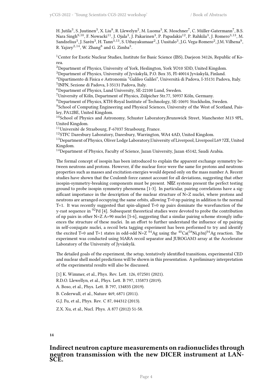H. Jutila $^3$ , S. Juutinen $^3$ , X. Liu $^8$ , R. Llewelyn $^2$ , M. Luoma $^3$ , K. Moschner $^7$ , C. Müller-Gatermann $^7$ , B.S. Nara Singh<sup>9,10</sup>, F. Nowacki<sup>11</sup>, J. Ojala<sup>3</sup>, J. Pakarinen<sup>3</sup>, P. Papadakis<sup>12</sup>, P. Rahkila<sup>3</sup>, J. Romero<sup>3,13</sup>, M. Sandzelius<sup>3</sup>, J. Sarén<sup>3</sup>, H. Tann<sup>3,13</sup>, S. Uthayakumaar<sup>2</sup>, J. Uusitalo<sup>3</sup>, J.G. Vega-Romero<sup>2</sup>, J.M. Vilhena<sup>9</sup>, R. Yajzey<sup>2,14</sup>, W. Zhang<sup>8</sup> and G. Zimba<sup>3</sup>.

<sup>1</sup>Center for Exotic Nuclear Studies, Institute for Basic Science (IBS), Daejeon 34126, Republic of Korea.

<sup>2</sup>Department of Physics, University of York, Heslington, York YO10 5DD, United Kingdom.

<sup>3</sup>Department of Physics, University of Jyväskylä, P.O. Box 35, FI-40014 Jyväskylä, Finland.

<sup>4</sup>Dipartimento di Fisica e Astronomia "Galileo Galilei", Università di Padova, I-35131 Padova, Italy. 5 INFN, Sezione di Padova, I-35131 Padova, Italy.

<sup>6</sup>Department of Physics, Lund University, SE-22100 Lund, Sweden.

<sup>7</sup>University of Köln, Department of Physics, Zülpicher Str.77, 50937 Köln, Germany.

<sup>8</sup>Department of Physics, KTH-Royal Institute of Technology, SE-10691 Stockholm, Sweden.

<sup>9</sup>School of Computing Engineering and Physical Sciences, University of the West of Scotland, Paisley, PA12BE, United Kingdom.

 $10$ School of Physics and Astronomy, Schuster Laboratory,Brunswick Street, Manchester M13 9PL, United Kingdom.

<sup>11</sup>Université de Strasbourg, F-67037 Strasbourg, France.

<sup>12</sup>STFC Daresbury Laboratory, Daresbury, Warrington, WA4 4AD, United Kingdom.

<sup>13</sup>Department of Physics, Oliver Lodge Laboratory, University of Liverpool, Liverpool L69 7ZE, United Kingdom.

<sup>14</sup>Department of Physics, Faculty of Science, Jazan University, Jazan 45142, Saudi Arabia.

The formal concept of isospin has been introduced to explain the apparent exchange symmetry between neutrons and protons. However, if the nuclear force were the same for protons and neutrons properties such as masses and excitation energies would depend only on the mass number A. Recent studies have shown that the Coulomb force cannot account for all deviations, suggesting that other isospin-symmetry-breaking components must be present. N $\boxtimes$ Z systems present the perfect testing ground to probe isospin symmetry phenomena [1-3]. In particular, pairing correlations have a significant importance in the description of the nuclear structure of N=Z nuclei, where protons and neutrons are arranged occupying the same orbits, allowing T=0 np pairing in addition to the normal T=1. It was recently suggested that spin-aligned T=0 np pairs dominate the wavefunction of the y-rast sequence in  $92Pd$  [4]. Subsequent theoretical studies were devoted to probe the contribution of np pairs in other N=Z A>90 nuclei [5-6], suggesting that a similar pairing scheme strongly influences the structure of these nuclei. In an effort to further understand the influence of np pairing in self-conjugate nuclei, a recoil beta tagging experiment has been performed to try and identify the excited T=0 and T=1 states in odd-odd N=Z  $94$ Ag using the  $40$ Ca( $58$ Ni,p3n) $94$ Ag reaction. The experiment was conducted using MARA recoil separator and JUROGAM3 array at the Accelerator Laboratory of the University of Jyväskylä.

The detailed goals of the experiment, the setup, tentatively identified transitions, experimental CED and nuclear shell model predictions will be shown in this presentation. A preliminary interpretation of the experimental results will also be discussed.

[1] K. Wimmer, et al., Phys. Rev. Lett. 126, 072501 (2021).

R.D.O. Llewellyn, et al., Phys. Lett. B 797, 135873 (2019).

A. Boso, et al., Phys. Lett. B 797, 134835 (2019).

B. Cederwall, et al., Nature 469, 6871 (2011).

G.J. Fu, et al., Phys. Rev. C 87, 044312 (2013).

Z.X. Xu, et al., Nucl. Phys. A 877 (2012) 51-58.

## <span id="page-7-0"></span>**14**

## **Indirect neutron capture measurements on radionuclides through neutron transmission with the new DICER instrument at LAN-SCE.**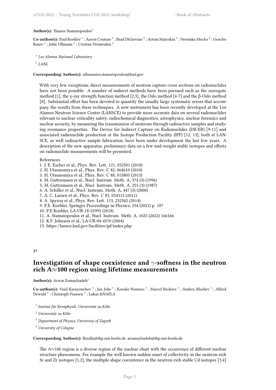Author(s): Thanos Stamatopoulos<sup>1</sup>

 $\bf Co\text{-}author(s):$  Paul Koehler  $^2$  ; Aaron Couture  $^2$  ; Brad DiGiovine  $^2$  ; Artem Matyskin  $^2$  ; Veronika Mocko  $^2$  ; Gencho Rusev $^{\mathsf{2}}$ ; John Ullmann $^{\mathsf{2}}$ ; Cristian Vermeulen  $^{\mathsf{2}}$ 

```
1
Los Alamos National Laboratory
```
2 *LANL*

**Corresponding Author(s):** athanasios.stamatopoulos@lanl.gov

With very few exceptions, direct measurements of neutron capture cross sections on radionuclides have not been possible. A number of indirect methods have been pursued such as the surrogate method [1], the γ-ray strength function method [2,3], the Oslo method [4-7] and the β-Oslo method [8]. Substantial effort has been devoted to quantify the usually large systematic errors that accompany the results from these techniques. A new instrument has been recently developed at the Los Alamos Neutron Science Center (LANSCE) to provide more accurate data on several radionuclides relevant to nuclear criticality safety, radiochemical diagnostics, astrophysics, nuclear forensics and nuclear security, by measuring the transmission of neutrons through radioactive samples and studying resonance properties. The Device for Indirect Capture on Radionuclides (DICER) [9-11] and associated radionuclide production at the Isotope Production Facility (IPF) [12, 13], both at LAN-SCE, as well radioactive sample fabrication, have been under development the last few years. A description of the new apparatus, preliminary data on a few mid-weight stable isotopes and efforts on radionuclide measurements will be presented.

#### References

- 1. J. E. Escher et al., Phys. Rev. Lett. 121, 052501 (2018)
- 2. H. Utsunomiya et al., Phys. Rev. C 82, 064610 (2010)
- 3. H. Utsunomiya et al., Phys. Rev. C 88, 015805 (2013)
- 4. M. Guttormsen et al., Nucl. Instrum. Meth. A, 374 (3) (1996)
- 5. M. Guttormsen et al., Nucl. Instrum. Meth. A, 255 (3) (1987)
- 6. A. Schiller et al., Nucl. Instrum. Meth. A, 447 (3) (2000)
- 7. A. C. Larsen et al., Phys. Rev. C 83, 034315 (2011)
- 8. A. Spyrou et al., Phys. Rev. Lett. 113, 232502 (2014)
- 9. P.E. Koehler, Springer Proceedings in Physics, 254 (2021) p. 187
- 10. P.E Koehler, LA-UR-18-22995 (2018)
- 11. A. Stamatopoulos et al., Nucl. Instrum. Meth. A, 1025 (2022) 166166
- 12. K.F. Johnson et al., LA-UR-04-4570 (2004)
- 13. https://lansce.lanl.gov/facilities/ipf/index.php

## <span id="page-8-0"></span>**17**

## **Investigation of shape coexistence and** *γ***-softness in the neutron rich A***≈***100 region using lifetime measurements**

#### Author(s): Arwin Esmaylzadeh<sup>1</sup>

Co-author(s): Vasil Karayonchev<sup>2</sup>; Jan Jolie <sup>1</sup>; Kosuke Nomura <sup>3</sup>; Marcel Beckers <sup>1</sup>; Andrey Blazhev <sup>1</sup>; Alfred Dewald  $^4$  ; Christoph Fransen  $^2$  ; Lukas KNAFLA

- 1 *Institut für Kernphysik, Universität zu Köln*
- <sup>2</sup> *Universität zu Köln*
- <sup>3</sup> *Department of Physics, University of Zagreb*
- <sup>4</sup> *University of Cologne*

**Corresponding Author(s):** lknafla@ikp.uni-koeln.de, aesmaylzadeh@ikp.uni-koeln.de

The A*≈*100 region is a diverse region of the nuclear chart with the occurrence of different nuclear structure phenomena. For example the well known sudden onset of collectivity in the neutron-rich Sr and Zr isotopes [1,2], the multiple shape coexistence in the neutron-rich stable Cd isotopes [3,4]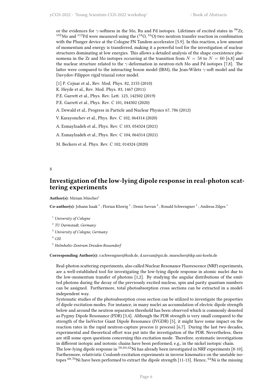or the evidences for *γ*-softness in the Mo, Ru and Pd isotopes. Lifetimes of excited states in <sup>98</sup>Zr,  $^{102}{\rm Mo}$  and  $^{112}{\rm Pd}$  were measured using the ( $^{18}{\rm O},$   $^{16}{\rm O})$  two neutron transfer reaction in combination with the Plunger device at the Cologne FN Tandem accelerator [5.9]. In this reaction, a low amount of momentum and energy is transferred, making it a powerful tool for the investigation of nuclear structures dominating at low energies. This allows a detailed analysis of the shape coexistence phenomena in the Zr and Mo isotopes occurring at the transition from  $N = 58$  to  $N = 60$  [6,8] and the nuclear structure related to the *γ*-deformation in neutron-rich Mo and Pd isotopes [7,8]. The latter were compared to the interacting boson model (IBM), the Jean-Wilets *γ*-soft model and the Davydov-Filippov rigid triaxial rotor model.

[1] P. Cejnar et al., Rev. Mod. Phys. 82, 2155 (2010)

K. Heyde et al., Rev. Mod. Phys. 83, 1467 (2011)

P.E. Garrett et al., Phys. Rev. Lett. 123, 142502 (2019)

P.E. Garrett et al., Phys. Rev. C 101, 044302 (2020)

A. Dewald et al., Progress in Particle and Nuclear Physics 67, 786 (2012)

V. Karayonchev et al., Phys. Rev. C 102, 064314 (2020)

A. Esmaylzadeh et al., Phys. Rev. C 103, 054324 (2021)

A. Esmaylzadeh et al., Phys. Rev. C 104, 064314 (2021)

M. Beckers et al. Phys. Rev. C 102, 014324 (2020)

<span id="page-9-0"></span>**5**

## **Investigation of the low-lying dipole response in real-photon scattering experiments**

Author(s): Miriam Müscher<sup>1</sup>

Co-author(s): Johann Isaak <sup>2</sup> ; Florian Kluwig <sup>3</sup> ; Deniz Savran <sup>4</sup> ; Ronald Schwengner <sup>5</sup> ; Andreas Zilges <sup>1</sup>

<sup>1</sup> *University of Cologne*

- 2 *TU Darmstadt, Germany*
- <sup>3</sup> *University of Cologne, Germany*

## <sup>4</sup> *GSI*

<sup>5</sup> *Helmholtz-Zentrum Dresden-Rossendorf*

**Corresponding Author(s):** r.schwengner@hzdr.de, d.savran@gsi.de, muescher@ikp.uni-koeln.de

Real-photon scattering experiments, also called Nuclear Resonance Fluorescence (NRF) experiments, are a well-established tool for investigating the low-lying dipole response in atomic nuclei due to the low-momentum transfer of photons [1,2]. By studying the angular distributions of the emitted photons during the decay of the previously excited nucleus, spin and parity quantum numbers can be assigned. Furthermore, total photoabsorption cross sections can be extracted in a modelindependent way.

Systematic studies of the photoabsorption cross section can be utilized to investigate the properties of dipole excitation modes. For instance, in many nuclei an accumulation of electric dipole strength below and around the neutron separation threshold has been observed which is commonly denoted as Pygmy Dipole Resonance (PDR) [3,4]. Although the PDR strength is very small compared to the strength of the IsoVector Giant Dipole Resonance (IVGDR) [5], it might have some impact on the reaction rates in the rapid neutron-capture process (r process) [6,7]. During the last two decades, experimental and theoretical effort was put into the investigation of the PDR. Nevertheless, there are still some open questions concerning this excitation mode. Therefore, systematic investigations in different isotopic and isotonic chains have been performed, e.g., in the nickel isotopic chain. The low-lying dipole response in <sup>58</sup>*,*60*,*<sup>62</sup>Ni has already been investigated in NRF experiments [8-10]. Furthermore, relativistic Coulomb excitation experiments in inverse kinematics on the unstable iso-

topes <sup>68,70</sup>Ni have been performed to extract the dipole strength [11-13]. Hence, <sup>64</sup>Ni is the missing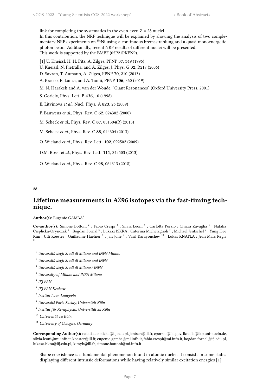link for completing the systematics in the even-even  $Z = 28$  nuclei. In this contribution, the NRF technique will be explained by showing the analysis of two complementary NRF experiments on <sup>64</sup>Ni using a continuous bremsstrahlung and a quasi-monoenergetic photon beam. Additionally, recent NRF results of different nuclei will be presented. This work is supported by the BMBF (05P21PKEN9).

[1] U. Kneissl, H. H. Pitz, A. Zilges, PPNP **37**, 349 (1996)

U. Kneissl, N. Pietralla, and A. Zilges, J. Phys. G **32**, R217 (2006)

D. Savran, T. Aumann, A. Zilges, PPNP **70**, 210 (2013)

A. Bracco, E. Lanza, and A. Tamii, PPNP **106**, 360 (2019)

M. N. Harakeh and A. van der Woude, "Giant Resonances" (Oxford University Press, 2001)

S. Goriely, Phys. Lett. B **436**, 10 (1998)

E. Litvinova *et al.*, Nucl. Phys. A **823**, 26 (2009)

F. Bauwens *et al.*, Phys. Rev. C **62**, 024302 (2000)

M. Scheck *et al.*, Phys. Rev. C **87**, 051304(R) (2013)

M. Scheck *et al.*, Phys. Rev. C **88**, 044304 (2013)

O. Wieland *et al.*, Phys. Rev. Lett. **102**, 092502 (2009)

D.M. Rossi *et al.*, Phys. Rev. Lett. **111**, 242503 (2013)

O. Wieland *et al.*, Phys. Rev. C **98**, 064313 (2018)

#### <span id="page-10-0"></span>**28**

## Lifetime measurements in A<sub>296</sub> isotopes via the fast-timing tech**nique.**

**Author(s):** Eugenio GAMBA<sup>1</sup>

Co-author(s): Simone Bottoni<sup>2</sup>; Fabio Crespi<sup>3</sup>; Silvia Leoni<sup>4</sup>; Carlotta Porzio; Chiara Zavaglia<sup>1</sup>; Natalia Cieplicka-Orynczak <sup>5</sup>; Bogdan Fornal <sup>6</sup>; Lukasz ISKRA; Caterina Michelagnoli <sup>7</sup>; Michael Jentschel <sup>7</sup>; Yung Hee Kim ; Ulli Koester ; Guillaume Haefner  $^8$  ; Jan Jolie  $^9$  ; Vasil Karayonchev  $^{10}$  ; Lukas KNAFLA ; Jean Marc Regis 11

- <sup>1</sup> *Università degli Studi di Milano and INFN Milano*
- <sup>2</sup> *Università degli Studi di Milano and INFN*
- <sup>3</sup> *Università degli Studi di Milano / INFN*
- <sup>4</sup> *University of Milano and INFN Milano*
- 5 *IFJ PAN*
- 6 *IFJ PAN Krakow*
- 7 *Institut Laue-Langevin*
- <sup>8</sup> *Université Paris-Saclay, Universität Köln*
- 9 *Institut für Kernphysik, Universität zu Köln*
- <sup>10</sup> *Universität zu Köln*
- <sup>11</sup> *University of Cologne, Germany*

**Corresponding Author(s):** natalia.cieplicka@ifj.edu.pl, jentsch@ill.fr, cporzio@lbl.gov, lknafla@ikp.uni-koeln.de, silvia.leoni@mi.infn.it, koester@ill.fr, eugenio.gamba@mi.infn.it, fabio.crespi@mi.infn.it, bogdan.fornal@ifj.edu.pl, lukasz.iskra@ifj.edu.pl, kimyh@ill.fr, simone.bottoni@mi.infn.it

Shape coexistence is a fundamental phenomenon found in atomic nuclei. It consists in some states displaying different intrinsic deformations while having relatively similar excitation energies [1].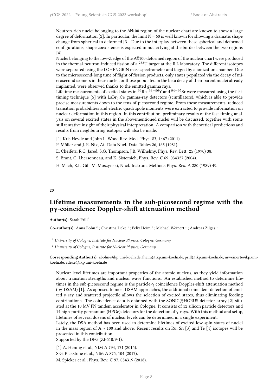Neutron-rich nuclei belonging to the  $A\boxtimes 100$  region of the nuclear chart are known to show a large degree of deformation [2]. In particular, the limit  $N = 60$  is well known for showing a dramatic shape change from spherical to deformed [3]. Due to the interplay between these spherical and deformed configurations, shape coexistence is expected in nuclei lying at the border between the two regions [4].

Nuclei belonging to the low-Z edge of the A\\100 deformed region of the nuclear chart were produced in the thermal-neutron-induced fission of a <sup>233</sup>U target at the ILL laboratory. The different isotopes were separated using the LOHENGRIN mass spectrometer and tagged by a ionization chamber. Due to the microsecond-long time of flight of fission products, only states populated via the decay of microsecond isomers in these nuclei, or those populated in the beta decay of their parent nuclei already implanted, were observed thanks to the emitted gamma rays.

Lifetime measurements of excited states in <sup>96</sup>Rb, <sup>93</sup>*−*<sup>96</sup>Y and <sup>94</sup>*−*<sup>95</sup>Sr were measured using the fasttiming technique  $[5]$  with LaBr<sub>3</sub>:Ce gamma-ray detectors (scintillators), which is able to provide precise measurements down to the tens-of-picosecond regime. From these measurements, reduced transition probabilities and electric quadrupole moments were extracted to provide information on nuclear deformation in this region. In this contribution, preliminary results of the fast-timing analysis on several excited states in the abovementioned nuclei will be discussed, together with some still tentative insight of their physical interpretation. A comparison with theoretical predictions and results from neighbouring isotopes will also be made.

- [1] Kris Heyde and John L. Wood Rev. Mod. Phys. 83, 1467 (2011).
- P. Möller and J. R. Nix, At. Data Nucl. Data Tables 26, 165 (1981).
- E. Cheifetz, R.C. Jared, S.G. Thompson, J.B. Wilhelmy, Phys. Rev. Lett. 25 (1970) 38.
- S. Brant, G. Lhersonneau, and K. Sistemich, Phys. Rev. C 69, 034327 (2004).

H. Mach, R.L. Gill, M. Moszynski, Nucl. Instrum. Methods Phys. Res. A 280 (1989) 49.

<span id="page-11-0"></span>**23**

## **Lifetime measurements in the sub-picosecond regime with the pγ-coincidence Doppler-shift attenuation method**

Author(s): Sarah Prill<sup>1</sup>

Co-author(s): Anna Bohn<sup>2</sup>; Christina Deke<sup>1</sup>; Felix Heim<sup>1</sup>; Michael Weinert<sup>1</sup>; Andreas Zilges<sup>1</sup>

<sup>1</sup> *University of Cologne, Institute for Nuclear Physics, Cologne, Germany*

<sup>2</sup> *University of Cologne, Institute for Nuclear Physics, Germany*

**Corresponding Author(s):** abohn@ikp.uni-koeln.de, fheim@ikp.uni-koeln.de, prill@ikp.uni-koeln.de, mweinert@ikp.unikoeln.de, cdeke@ikp.uni-koeln.de

Nuclear level lifetimes are important properties of the atomic nucleus, as they yield information about transition strengths and nuclear wave functions. An established method to determine lifetimes in the sub-picosecond regime is the particle-γ coincidence Doppler-shift attenuation method (pγ-DSAM) [1]. As opposed to most DSAM approaches, the additional coincident detection of emitted γ-ray and scattered projectile allows the selection of excited states, thus eliminating feeding contributions. The coincidence data is obtained with the SONIC@HORUS detector array [2] situated at the 10 MV FN tandem accelerator in Cologne. It consists of 12 silicon particle detectors and 14 high-purity germanium (HPGe) detectors for the detection of γ-rays. With this method and setup, lifetimes of several dozens of nuclear levels can be determined in a single experiment.

Lately, the DSA method has been used to determine lifetimes of excited low-spin states of nuclei in the mass region of A  $\approx$  100 and above. Recent results on Ru, Sn [3] and Te [4] isotopes will be presented in this contribution.

Supported by the DFG (ZI-510/9-1).

[1] A. Hennig et al., NIM A 794, 171 (2015).

S.G. Pickstone et al., NIM A 875, 104 (2017).

M. Spieker et al., Phys. Rev. C 97, 054319 (2018).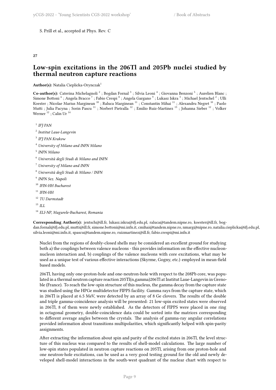## S. Prill et al., accepted at Phys. Rev. C

#### <span id="page-12-0"></span>**27**

## **Low-spin excitations in the 206Tl and 205Pb nuclei studied by thermal neutron capture reactions**

## **Author(s):** Natalia Cieplicka-Orynczak<sup>1</sup>

Co-author(s): Caterina Michelagnoli<sup>2</sup>; Bogdan Fornal<sup>3</sup>; Silvia Leoni<sup>4</sup>; Giovanna Benzoni<sup>5</sup>; Aurelien Blanc; Simone Bottoni  $^6$  ; Angela Bracco  $^7$  ; Fabio Crespi  $^8$  ; Angela Gargano  $^9$  ; Lukasz Iskra  $^3$  ; Michael Jentschel  $^2$  ; Ulli Koester ; Nicolae Marius Marginean <sup>10</sup> ; Raluca Marginean <sup>11</sup> ; Constantin Mihai <sup>11</sup> ; Alexandru Negret <sup>10</sup> ; Paolo Mutti ; Julia Pacyna ; Sorin Pascu <sup>11</sup> ; Norbert Pietralla <sup>12</sup> ; Emilio Ruiz-Martinez <sup>13</sup> ; Johanna Sieber <sup>12</sup> ; Volker Werner<sup>12</sup>; Calin Ur<sup>14</sup>

1 *IFJ PAN*

- 2 *Institut Laue-Langevin*
- 3 *IFJ PAN Krakow*
- <sup>4</sup> *University of Milano and INFN Milano*
- 5 *INFN Milano*
- <sup>6</sup> *Università degli Studi di Milano and INFN*
- <sup>7</sup> *University of Milano and INFN*
- <sup>8</sup> *Università degli Studi di Milano / INFN*
- 9 *INFN Sez. Napoli*
- <sup>10</sup> *IFIN-HH Bucharest*
- <sup>11</sup> *IFIN-HH*
- <sup>12</sup> *TU Darmstadt*
- <sup>13</sup> *ILL*
- <sup>14</sup> *ELI-NP, Magurele-Bucharest, Romania*

**Corresponding Author(s):** jentsch@ill.fr, lukasz.iskra@ifj.edu.pl, raluca@tandem.nipne.ro, koester@ill.fr, bogdan.fornal@ifj.edu.pl, mutti@ill.fr, simone.bottoni@mi.infn.it, cmihai@tandem.nipne.ro, nmarg@nipne.ro, natalia.cieplicka@ifj.edu.pl, silvia.leoni@mi.infn.it, spascu@tandem.nipne.ro, ruizmartinez@ill.fr, fabio.crespi@mi.infn.it

Nuclei from the regions of doubly-closed shells may be considered an excellent ground for studying both a) the couplings between valence nucleons - this provides information on the effective nucleonnucleon interaction and, b) couplings of the valence nucleons with core excitations, what may be used as a unique test of various effective interactions (Skyrme, Gogny, etc.) employed in mean-field based models.

206Tl, having only one-proton-hole and one-neutron-hole with respect to the 208Pb core, was populated in a thermal neutron capture reaction 205Tl(n,gamma)206Tl at Institut Laue-Langevin in Grenoble (France). To reach the low-spin structure of this nucleus, the gamma decay from the capture state was studied using the HPGe multidetector FIPPS facility. Gamma rays from the capture state, which in 206Tl is placed at 6.5 MeV, were detected by an array of 8 Ge clovers. The results of the double and triple gamma-coincidence analysis will be presented: 21 low-spin excited states were observed in 206Tl, 8 of them were newly established. As the detectors of FIPPS were placed in one ring in octagonal geometry, double-coincidence data could be sorted into the matrices corresponding to different average angles between the crystals. The analysis of gamma-ray angular correlations provided information about transitions multipolarities, which significantly helped with spin-parity assignments.

After extracting the information about spin and parity of the excited states in 206Tl, the level structure of this nucleus was compared to the results of shell-model calculations. The large number of low-spin states populated in neutron capture reactions on 205Tl, arising from one proton-hole and one neutron-hole excitations, can be used as a very good testing ground for the old and newly developed shell-model interactions in the south-west quadrant of the nuclear chart with respect to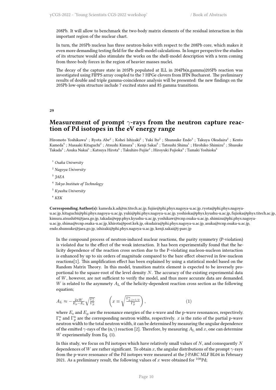208Pb. It will allow to benchmark the two-body matrix elements of the residual interaction in this important region of the nuclear chart.

In turn, the 205Pb nucleus has three neutron-holes with respect to the 208Pb core, which makes it even more demanding testing field for the shell-model calculations. In longer perspective the studies of its structure would also stimulate the works on the shell-model description with a term coming from three-body forces in the region of heavier masses nuclei.

The decay of the capture state in 205Pb populated at ILL in 204Pb(n,gamma)205Pb reaction was investigated using FIPPS array coupled to the 7 HPGe clovers from IFIN Bucharest. The preliminary results of double and triple gamma-coincidence analysis will be presented: the new findings on the 205Pb low-spin structure include 7 excited states and 85 gamma transitions.

<span id="page-13-0"></span>**29**

## **Measurement of prompt** *γ***-rays from the neutron capture reaction of Pd isotopes in the eV energy range**

Hiromoto Yoshikawa<sup>1</sup> ; Ryota Abe<sup>2</sup> ; Kohei Ishizaki<sup>2</sup> ; Yuki Ito<sup>2</sup> ; Shunsuke Endo<sup>3</sup> ; Takuya Okudaira<sup>2</sup> ; Kento Kameda<sup>4</sup> ; Masaaki Kitaguchi<sup>2</sup> ; Atsushi Kimura<sup>3</sup> ; Kenji Sakai<sup>3</sup> ; Tatsushi Shima<sup>1</sup> ; Hirohiko Shimizu<sup>2</sup> ; Shusuke Takada $^5$  ; Asuka Nakai $^1$  ; Katsuya Hirota $^6$  ; Takuhiro Fujiie $^2$  ; Hiroyuki Fujioka $^4$  ; Tamaki Yoshioka $^5$ 

<sup>1</sup> *Osaka University*

<sup>2</sup> *Nagoya University*

3 *JAEA*

- 4 *Tokyo Institute of Technology*
- <sup>5</sup> *Kyushu University*
- <sup>6</sup> *KEK*

**Corresponding Author(s):** kameda.k.ad@m.titech.ac.jp, fujiie@phi.phys.nagoya-u.ac.jp, ryota@phi.phys.nagoyau.ac.jp, kitaguchi@phi.phys.nagoya-u.ac.jp, yuki@phi.phys.nagoya-u.ac.jp, yoshioka@phys.kyushu-u.ac.jp, fujioka@phys.titech.ac.jp, kimura.atsushi04@jaea.go.jp, takada@epp.phys.kyushu-u.ac.jp, yoshikaw@rcnp.osaka-u.ac.jp, shimizu@phi.phys.nagoyau.ac.jp, shima@rcnp.osaka-u.ac.jp, khirota@post.kek.jp, okudaira@phi.phys.nagoya-u.ac.jp, asuka@rcnp.osaka-u.ac.jp, endo.shunsuke@jaea.go.jp, ishizaki@phi.phys.nagoya-u.ac.jp, kenji.sakai@j-parc.jp

In the compound process of neutron-induced nuclear reactions, the parity symmetry (P-violation) is violated due to the effect of the weak interaction. It has been experimentally found that the helicity dependence of the reaction cross section due to the P-violating nucleon-nucleon interaction is enhanced by up to six orders of magnitude compared to the bare effect observed in few-nucleon reactions[1]. This amplification effect has been explained by using a statistical model based on the Random Matrix Theory. In this model, transition matrix element is expected to be inversely proportional to the square-root of the level density *N*. The accuracy of the existing experimental data of *W*, however, are not sufficient to verify the model, and thus more accurate data are demanded. *W* is related to the asymmety  $A_L$  of the helicity-dependent reaction cross section as the following equation;

$$
A_L \approx -\frac{2xW}{E_p - E_s} \sqrt{\frac{\Gamma_n^{\rm n}}{\Gamma_p^{\rm n}}} \qquad \left( x \equiv \sqrt{\frac{\Gamma_{p,j=1/2}^{\rm n}}{\Gamma_p^{\rm n}}} \right), \tag{1}
$$

where  $E_s$  and  $E_p$  are the resonance energies of the s-wave and the p-wave resonances, respectively.  $\Gamma_{\rm s}^{\rm n}$  and  $\Gamma_{\rm p}^{\rm n}$  are the corresponding neutron widths, respectively. *x* is the ratio of the partial p-wave neutron width to the total neutron width, it can be determined by measuring the angular dependence of the emitted *γ*-rays of the (n,*γ*) reaction [2]. Therefore, by measuring *A*<sup>L</sup> and *x*, one can determine *W* experimentally from Eq. (1).

In this study, we focus on Pd isotopes which have relatively small values of *N*, and consequently *N* dependences of *W* are rather significant. To obtain *x*, the angular distributions of the prompt  $\gamma$ -rays from the p-wave resonance of the Pd isotopes were measured at the J-PARC MLF BL04 in February 2021. As a preliminary result, the following values of x were obtained for  $^{108}Pd$ ;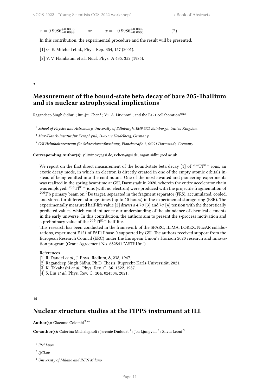$x = 0.9986_{-0.0099}^{+0.0003}$ *<sup>−</sup>*0*.*<sup>0099</sup> or *<sup>x</sup>* <sup>=</sup> *<sup>−</sup>*0*.*9986+0*.*<sup>0099</sup> *<sup>−</sup>*0*.*0003*.* (2)

$$
(\mathbf{2})
$$

In this contribution, the experimental procedure and the result will be presented.

- [1] G. E. Mitchell et al., Phys. Rep. 354, 157 (2001).
- [2] V. V. Flambaum et al., Nucl. Phys. A 435, 352 (1985).

<span id="page-14-0"></span>**3**

## **Measurement of the bound-state beta decay of bare 205-Thallium and its nuclear astrophysical implications**

Ragandeep Singh Sidhu $^1$  ; Rui-Jiu Chen $^2$  ; Yu. A. Litvinov $^3$  ; and the E121 collaboration $^\mathrm{None}$ 

1 *School of Physics and Astronomy, University of Edinburgh, EH9 3FD Edinburgh, United Kingdom*

<sup>2</sup> *Max-Planck-Institut für Kernphysik, D-69117 Heidelberg, Germany*

<sup>3</sup> *GSI Helmholtzzentrum für Schwerionenforschung, Planckstraße 1, 64291 Darmstadt, Germany*

**Corresponding Author(s):** y.litvinov@gsi.de, r.chen@gsi.de, ragan.sidhu@ed.ac.uk

We report on the first direct measurement of the bound-state beta decay [1] of  $205 \text{T}1^{81+}$  ions, an exotic decay mode, in which an electron is directly created in one of the empty atomic orbitals instead of being emitted into the continuum. One of the most awaited and pioneering experiments was realized in the spring beamtime at GSI, Darmstadt in 2020, wherein the entire accelerator chain was employed.  ${}^{205}$ Tl<sup>81+</sup> ions (with no electron) were produced with the projectile fragmentation of  $^{206}\text{Pb}$  primary beam on  $^{9}\text{Be}$  target, separated in the fragment separator (FRS), accumulated, cooled, and stored for different storage times (up to 10 hours) in the experimental storage ring (ESR). The experimentally measured half-life value [2] draws a 4.7*σ* [3] and 7*σ* [4] tension with the theoretically predicted values, which could influence our understanding of the abundance of chemical elements in the early universe. In this contribution, the authors aim to present the s-process motivation and a preliminary value of the  $^{205}$ Tl<sup>81+</sup> half-life.

This research has been conducted in the framework of the SPARC, ILIMA, LOREX, NucAR collaborations, experiment E121 of FAIR Phase-0 supported by GSI. The authors received support from the European Research Council (ERC) under the European Union's Horizon 2020 research and innovation program (Grant Agreement No. 682841 "ASTRUm").

References

- [1] R. Daudel *et al.,* J. Phys. Radium, **8**, 238, 1947.
- [2] Ragandeep Singh Sidhu, Ph.D. Thesis, Ruprecht-Karls-Universität, 2021.
- [3] K. Takahashi *et al.,* Phys. Rev. C, **36**, 1522, 1987.
- [4] S. Liu *et al.,* Phys. Rev. C, **104**, 024304, 2021.

## <span id="page-14-1"></span>**15**

## **Nuclear structure studies at the FIPPS instrument at ILL**

## Author(s): Giacomo Colombi<sup>None</sup>

Co-author(s): Caterina Michelagnoli ; Jeremie Dudouet <sup>1</sup> ; Joa Ljungvall <sup>2</sup> ; Silvia Leoni <sup>3</sup>

- 1 *IP2I Lyon*
- 2 *IJCLab*
- <sup>3</sup> *University of Milano and INFN Milano*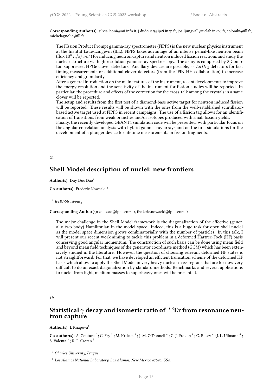**Corresponding Author(s):** silvia.leoni@mi.infn.it, j.dudouet@ip2i.in3p.fr, joa.ljungvall@ijclab.in2p3.fr, colombi@ill.fr, michelagnolic@ill.fr

The FIssion Product Prompt gamma-ray spectrometer (FIPPS) is the new nuclear physics instrument at the Institut Laue-Langevin (ILL). FIPPS takes advantage of an intense pencil-like neutron beam (flux  $10^8$   $n/s/cm^2$ ) for inducing neutron capture and neutron induced fission reactions and study the nuclear structure via high resolution gamma-ray spectroscopy. The array is composed by 8 Compton suppressed HPGe clover detectors. Ancillary devices are possible, as *LaBr*<sup>3</sup> detectors for fast timing measurements or additional clover detectors (from the IFIN-HH collaboration) to increase efficiency and granularity.

After a general introduction on the main features of the instrument, recent developments to improve the energy resolution and the sensitivity of the instrument for fission studies will be reported. In particular, the procedure and effects of the correction for the cross-talk among the crystals in a same clover will be reported.

The setup and results from the first test of a diamond-base active target for neutron induced fission will be reported. These results will be shown with the ones from the well-established scintillatorbased active target used at FIPPS in recent campaigns. The use of a fission tag allows for an identification of transitions from weak branches and/or isotopes produced with small fission yields.

Finally, the recently developed GEANT4 simulation code will be presented, with particular focus on the angular correlation analysis with hybrid gamma-ray arrays and on the first simulations for the development of a plunger device for lifetime measurements in fission fragments.

#### <span id="page-15-0"></span>**21**

## **Shell Model description of nuclei: new frontiers**

Author(s): Duy Duc Dao<sup>1</sup>

Co-author(s): Frederic Nowacki<sup>1</sup>

1 *IPHC-Strasbourg*

**Corresponding Author(s):** duc.dao@iphc.cnrs.fr, frederic.nowacki@iphc.cnrs.fr

The major challenge in the Shell Model framework is the diagonalization of the effective (generally two-body) Hamiltonian in the model space. Indeed, this is a huge task for open shell nuclei as the model space dimension grows combinatorially with the number of particles. In this talk, I will present our recent work aiming to tackle this problem in a deformed Hartree-Fock (HF) basis conserving good angular momentum. The construction of such basis can be done using mean field and beyond mean field techniques of the generator coordinate method (GCM) which has been extensively studied in the literature. However, the question of choosing relevant deformed HF states is not straightforward. For that, we have developed an efficient truncation scheme of the deformed HF basis which allow to apply the Shell Model in very heavy nuclear mass regions that are for now very difficult to do an exact diagonalization by standard methods. Benchmarks and several applications to nuclei from light, medium masses to superheavy ones will be presented.

#### <span id="page-15-1"></span>**19**

## **Statistical** *γ* **decay and isomeric ratio of** <sup>168</sup>**Er from resonance neutron capture**

Author(s): I. Knapova<sup>1</sup>

Co-author(s): A. Couture  $^2$  ; C. Fry  $^2$  ; M. Krticka  $^3$  ; J. M. O'Donnell  $^4$  ; C. J. Prokop  $^4$  ; G. Rusev  $^4$  ; J. L. Ullmann  $^4$  ; S. Valenta  $^3$  ; R. F. Casten  $^5$ 

<sup>1</sup> *Charles University, Prague*

<sup>2</sup> *Los Alamos National Laboratory, Los Alamos, New Mexico 87545, USA*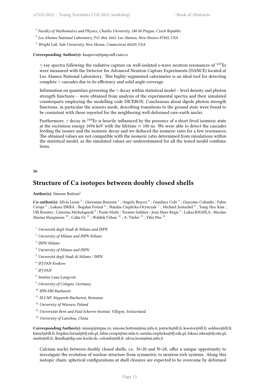- 3 *Faculty of Mathematics and Physics, Charles University, 180 00 Prague, Czech Republic*
- 4 *Los Alamos National Laboratory, P.O. Box 1663, Los Alamos, New Mexico 87545, USA*
- <sup>5</sup> *Wright Lab, Yale University, New Haven, Connecticut 06520, USA*

#### **Corresponding Author(s):** knapova@ipnp.mff.cuni.cz

*γ*-ray spectra following the radiative capture on well-isolated s-wave neutron resonances of <sup>167</sup>Er were measured with the Detector for Advanced Neutron Capture Experiments (DANCE) located at Los Alamos National Laboratory. This highly-segmented calorimeter is an ideal tool for detecting complete *γ* cascades due to its efficiency and solid angle coverage.

Information on quantities governing the *γ* decay within statistical model – level density and photon strength functions – were obtained from analysis of the experimental spectra and their simulated counterparts employing the modelling code DICEBOX. Conclusions about dipole photon strength functions, in particular the scissors mode, describing transitions to the ground state were found to be consistent with those reported for the neighboring well-deformed rare-earth nuclei.

Furthermore, *γ* decay in <sup>168</sup>Er is heavily influenced by the presence of a short-lived isomeric state at the excitation energy 1094 keV with the lifetime *≈* 100 ns. We were able to detect the cascades feeding the isomer and the isomeric decay and we deduced the isomeric ratio for a few resonances. The obtained values are not compatible with the isomeric ratio determined from simulations within the statistical model, as the simulated values are underestimated for all the tested model combinations.

#### **26**

## **Structure of Ca isotopes between doubly closed shells**

#### Author(s): Simone Bottoni<sup>1</sup>

Co-author(s): Silvia Leoni <sup>2</sup> ; Giovanna Benzoni <sup>3</sup> ; Angela Bracco <sup>4</sup> ; Gianluca Colò <sup>4</sup> ; Giacomo Colombi ; Fabio Crespi <sup>5</sup> ; Lukasz ISKRA ; Bogdan Fornal <sup>6</sup> ; Natalia Cieplicka-Orynczak <sup>7</sup> ; Michael Jentschel <sup>8</sup> ; Yung Hee Kim ; Ulli Koester ; Caterina Michelagnoli  $^8$  ; Paolo Mutti ; Torsten Soldner ; Jean Marc Regis  $^9$  ; Lukas KNAFLA ; Nicolae Marius Marginean <sup>10</sup> ; Calin Ur<sup>11</sup> ; Waldek Urban <sup>12</sup> ; A. Türler <sup>13</sup> ; Yifei Niu <sup>14</sup>

- <sup>1</sup> *Università degli Studi di Milano and INFN*
- <sup>2</sup> *University of Milano and INFN Milano*
- 3 *INFN Milano*
- <sup>4</sup> *University of Milano and INFN*
- <sup>5</sup> *Università degli Studi di Milano / INFN*
- 6 *IFJ PAN Krakow*
- 7 *IFJ PAN*
- 8 *Institut Laue-Langevin*
- <sup>9</sup> *University of Cologne, Germany*
- <sup>10</sup> *IFIN-HH Bucharest*
- <sup>11</sup> *ELI-NP, Magurele-Bucharest, Romania*
- <sup>12</sup> *University of Warsaw, Poland*
- <sup>13</sup> *Universität Bern and Paul Scherrer Institut, Villigen, Switzerland*
- <sup>14</sup> *University of Lanzhou, China*

**Corresponding Author(s):** nmarg@nipne.ro, simone.bottoni@mi.infn.it, jentsch@ill.fr, koester@ill.fr, soldner@ill.fr, kimyh@ill.fr, bogdan.fornal@ifj.edu.pl, fabio.crespi@mi.infn.it, natalia.cieplicka@ifj.edu.pl, lukasz.iskra@ifj.edu.pl, mutti@ill.fr, lknafla@ikp.uni-koeln.de, colombi@ill.fr, silvia.leoni@mi.infn.it

Calcium nuclei between doubly closed shells, i.e. N=20 and N=28, offer a unique opportunity to investigate the evolution of nuclear structure from symmetric to neutron-rich systems. Along this isotopic chain, spherical configurations at shell closures are expected to be overcome by deformed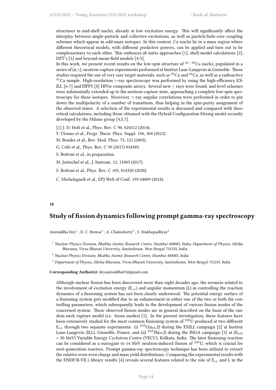structures in mid-shell nuclei, already at low excitation energy. This will significantly affect the interplay between single-particle and collective excitations, as well as particle/hole-core coupling schemes which appear in odd-mass isotopes. In this context, Ca nuclei lie in a mass region where different theoretical models, with different predictive powers, can be applied and turn out to be complementary to each other. This embraces ab initio approaches [1], shell-model calculations [2], DFT's [3] and beyond-mean-field models [4-5].

In this work, we present recent results on the low-spin structure of <sup>41</sup>*−*<sup>49</sup>Ca nuclei, populated in a series of (n,*γ*), neutron-capture experiments performed at Institut Laue-Langevin in Grenoble. These studies required the use of very rare target materials, such as  $^{46}$ Ca and  $^{48}$ Ca, as well as a radioactive <sup>41</sup>Ca sample. High-resolution *γ*-ray spectroscopy was performed by using the high-efficiency EX-ILL [6-7] and FIPPS [8] HPGe composite arrays. Several new *γ* rays were found, and level schemes were substantially extended up to the neutron-capture state, approaching a complete low-spin spectroscopy for these isotopes. Moreover, *γ*-ray angular correlations were performed in order to pin down the multipolarity of a number of transitions, thus helping in the spin-parity assignment of the observed states. A selection of the experimental results is discussed and compared with theoretical calculations, including those obtained with the Hybrid Configuration Mixing model recently developed by the Milano group [4,5,7].

- [1] J. D. Holt et al., Phys. Rev. C 90, 024312 (2014).
- Y. Utsuno et al., Progr. Theor. Phys. Suppl. 196, 304 (2012).
- M. Bender et al., Rev. Mod. Phys. 75, 121 (2003).
- G. Colò et al., Phys. Rev. C 95 (2017) 034303.
- S. Bottoni et al., in preparation.
- M. Jentschel et al., J. Instrum. 12, 11003 (2017).
- S. Bottoni et al., Phys. Rev. C 103, 014320 (2020).
- C. Michelagnoli et al., EPJ Web of Conf. 193 04009 (2018).

#### **18**

## **Study of fission dynamics following prompt gamma-ray spectroscopy**

Aniruddha Dey<sup>1</sup>; D. C. Biswas<sup>2</sup>; A. Chakraborty<sup>3</sup>; S. Mukhopadhyay<sup>2</sup>

<sup>1</sup> *Nuclear Physics Division, Bhabha Atomic Research Centre, Mumbai 400085, India; Department of Physics, Siksha Bhavana, Visva-Bharati University, Santiniketan, West Bengal 731235, India*

<sup>2</sup> *Nuclear Physics Division, Bhabha Atomic Research Centre, Mumbai 400085, India*

<sup>3</sup> *Department of Physics, Siksha Bhavana, Visva-Bharati University, Santiniketan, West Bengal 731235, India*

#### **Corresponding Author(s):** deyaniruddha07@gmail.com

Although nuclear fission has been discovered more than eight decades ago, the scenario related to the involvement of excitation energy  $(E_{ex})$  and angular momentum (L) in controlling the reaction dynamics of a fissioning system has not been clearly understood. The potential energy surface of a fissioning system gets modified due to an enhancement in either one of the two or both the controlling parameters, which subsequently leads to the development of various fission modes of the concerned system. These observed fission modes are in general described on the basis of the random neck rupture model (i.e. brosa modes) [1]. In the present investigation, these features have been extensively studied for the most common fissioning system of <sup>236</sup>U produced at two different  $E_{ex}$  through two separate experiments: (i) <sup>235</sup>U( $n_{th}$ ,f) during the EXILL campaign [2] at Institut Laue-Langevin (ILL), Grenoble, France, and (ii)  $^{232}$ Th( $\alpha$ ,f) during the INGA campaign [3] at (E<sub>lab</sub> = 30 MeV) Variable Energy Cyclotron Centre (VECC), Kolkata, India. The later fissioning reaction can be considered as a surrogate to 14 MeV neutron-induced fission of  $^{235}$ U, which is crucial for next-generation reactors. Prompt gamma-ray spectroscopy technique has been utilized to extract the relative even-even charge and mass yield distributions. Comparing the experimental results with the ENDF/B-VII.1 library results [4] reveals several features related to the role of E*ex* and L in the